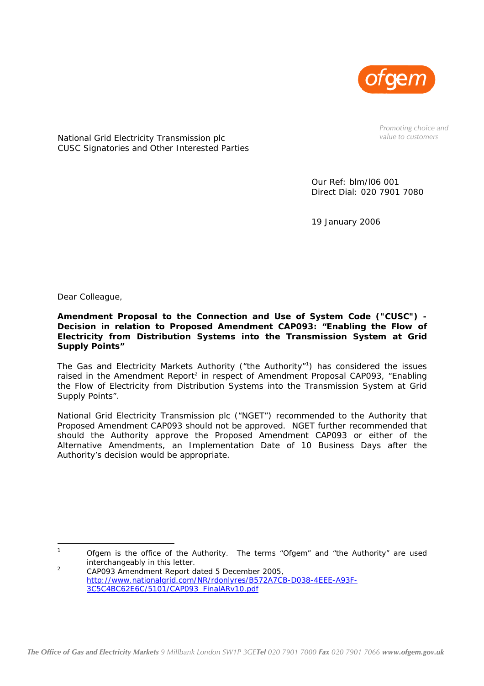

*Promoting choice and value to customers* 

National Grid Electricity Transmission plc CUSC Signatories and Other Interested Parties

> Our Ref: blm/l06 001 Direct Dial: 020 7901 7080

19 January 2006

Dear Colleague,

 $\overline{a}$ 

**Amendment Proposal to the Connection and Use of System Code ("CUSC") - Decision in relation to Proposed Amendment CAP093: "Enabling the Flow of Electricity from Distribution Systems into the Transmission System at Grid Supply Points"** 

The Gas and Electricity Markets Authority ("the Authority"<sup>1</sup>) has considered the issues raised in the Amendment Report<sup>2</sup> in respect of Amendment Proposal CAP093, "Enabling the Flow of Electricity from Distribution Systems into the Transmission System at Grid Supply Points".

National Grid Electricity Transmission plc ("NGET") recommended to the Authority that Proposed Amendment CAP093 should not be approved. NGET further recommended that should the Authority approve the Proposed Amendment CAP093 or either of the Alternative Amendments, an Implementation Date of 10 Business Days after the Authority's decision would be appropriate.

<span id="page-0-0"></span>1 Ofgem is the office of the Authority. The terms "Ofgem" and "the Authority" are used interchangeably in this letter.  $\overline{2}$ 

<span id="page-0-1"></span>CAP093 Amendment Report dated 5 December 2005, [http://www.nationalgrid.com/NR/rdonlyres/B572A7CB-D038-4EEE-A93F-](http://www.nationalgrid.com/NR/rdonlyres/B572A7CB-D038-4EEE-A93F-3C5C4BC62E6C/5101/CAP093_FinalARv10.pdf)[3C5C4BC62E6C/5101/CAP093\\_FinalARv10.pdf](http://www.nationalgrid.com/NR/rdonlyres/B572A7CB-D038-4EEE-A93F-3C5C4BC62E6C/5101/CAP093_FinalARv10.pdf)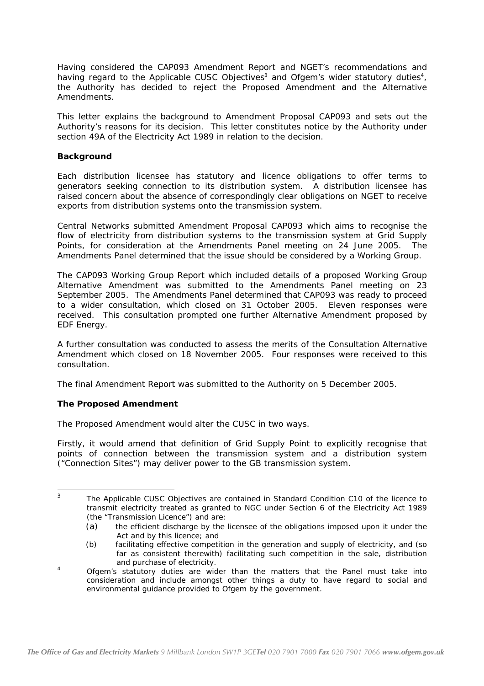Having considered the CAP093 Amendment Report and NGET's recommendations and having regard to the Applicable CUSC Objectives<sup>3</sup> and Ofgem's wider statutory duties<sup>[4](#page-1-1)</sup>, the Authority has decided to reject the Proposed Amendment and the Alternative Amendments.

This letter explains the background to Amendment Proposal CAP093 and sets out the Authority's reasons for its decision. This letter constitutes notice by the Authority under section 49A of the Electricity Act 1989 in relation to the decision.

## *Background*

Each distribution licensee has statutory and licence obligations to offer terms to generators seeking connection to its distribution system. A distribution licensee has raised concern about the absence of correspondingly clear obligations on NGET to receive exports from distribution systems onto the transmission system.

Central Networks submitted Amendment Proposal CAP093 which aims to recognise the flow of electricity from distribution systems to the transmission system at Grid Supply Points, for consideration at the Amendments Panel meeting on 24 June 2005. The Amendments Panel determined that the issue should be considered by a Working Group.

The CAP093 Working Group Report which included details of a proposed Working Group Alternative Amendment was submitted to the Amendments Panel meeting on 23 September 2005. The Amendments Panel determined that CAP093 was ready to proceed to a wider consultation, which closed on 31 October 2005. Eleven responses were received. This consultation prompted one further Alternative Amendment proposed by EDF Energy.

A further consultation was conducted to assess the merits of the Consultation Alternative Amendment which closed on 18 November 2005. Four responses were received to this consultation.

The final Amendment Report was submitted to the Authority on 5 December 2005.

# *The Proposed Amendment*

The Proposed Amendment would alter the CUSC in two ways.

Firstly, it would amend that definition of Grid Supply Point to explicitly recognise that points of connection between the transmission system and a distribution system ("Connection Sites") may deliver power to the GB transmission system.

<span id="page-1-0"></span>3 The Applicable CUSC Objectives are contained in Standard Condition C10 of the licence to transmit electricity treated as granted to NGC under Section 6 of the Electricity Act 1989 (the "Transmission Licence") and are:

<sup>(</sup>a) the efficient discharge by the licensee of the obligations imposed upon it under the Act and by this licence; and

<sup>(</sup>b) facilitating effective competition in the generation and supply of electricity, and (so far as consistent therewith) facilitating such competition in the sale, distribution and purchase of electricity.

<span id="page-1-1"></span><sup>4</sup> Ofgem's statutory duties are wider than the matters that the Panel must take into consideration and include amongst other things a duty to have regard to social and environmental guidance provided to Ofgem by the government.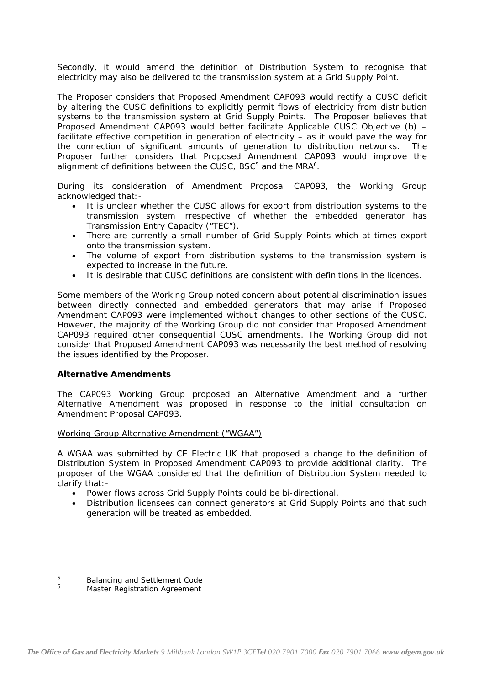Secondly, it would amend the definition of Distribution System to recognise that electricity may also be delivered to the transmission system at a Grid Supply Point.

The Proposer considers that Proposed Amendment CAP093 would rectify a CUSC deficit by altering the CUSC definitions to explicitly permit flows of electricity from distribution systems to the transmission system at Grid Supply Points. The Proposer believes that Proposed Amendment CAP093 would better facilitate Applicable CUSC Objective (b) – facilitate effective competition in generation of electricity  $-$  as it would pave the way for the connection of significant amounts of generation to distribution networks. The Proposer further considers that Proposed Amendment CAP093 would improve the alignment of definitions between the CUSC, BSC<sup>[5](#page-2-0)</sup> and the MRA<sup>6</sup>[.](#page-2-1)

During its consideration of Amendment Proposal CAP093, the Working Group acknowledged that:-

- It is unclear whether the CUSC allows for export from distribution systems to the transmission system irrespective of whether the embedded generator has Transmission Entry Capacity ("TEC").
- There are currently a small number of Grid Supply Points which at times export onto the transmission system.
- The volume of export from distribution systems to the transmission system is expected to increase in the future.
- It is desirable that CUSC definitions are consistent with definitions in the licences.

Some members of the Working Group noted concern about potential discrimination issues between directly connected and embedded generators that may arise if Proposed Amendment CAP093 were implemented without changes to other sections of the CUSC. However, the majority of the Working Group did not consider that Proposed Amendment CAP093 required other consequential CUSC amendments. The Working Group did not consider that Proposed Amendment CAP093 was necessarily the best method of resolving the issues identified by the Proposer.

## *Alternative Amendments*

The CAP093 Working Group proposed an Alternative Amendment and a further Alternative Amendment was proposed in response to the initial consultation on Amendment Proposal CAP093.

## Working Group Alternative Amendment ("WGAA")

A WGAA was submitted by CE Electric UK that proposed a change to the definition of Distribution System in Proposed Amendment CAP093 to provide additional clarity. The proposer of the WGAA considered that the definition of Distribution System needed to clarify that:-

- Power flows across Grid Supply Points could be bi-directional.
- Distribution licensees can connect generators at Grid Supply Points and that such generation will be treated as embedded.

<span id="page-2-0"></span>5 <sup>5</sup> Balancing and Settlement Code

<span id="page-2-1"></span>Master Registration Agreement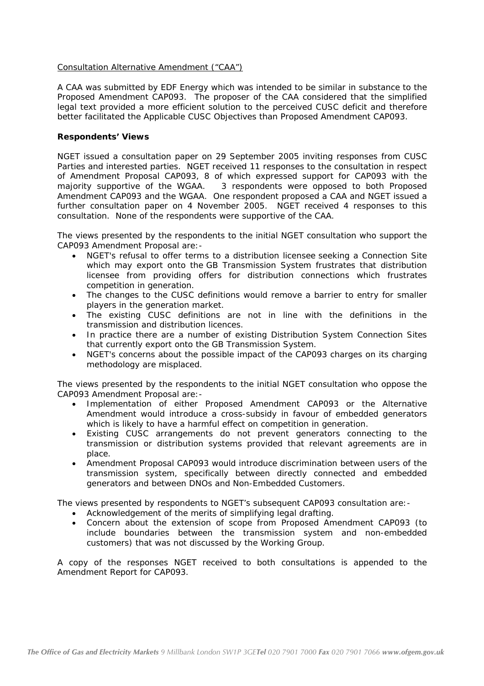## Consultation Alternative Amendment ("CAA")

A CAA was submitted by EDF Energy which was intended to be similar in substance to the Proposed Amendment CAP093. The proposer of the CAA considered that the simplified legal text provided a more efficient solution to the perceived CUSC deficit and therefore better facilitated the Applicable CUSC Objectives than Proposed Amendment CAP093.

## *Respondents' Views*

NGET issued a consultation paper on 29 September 2005 inviting responses from CUSC Parties and interested parties. NGET received 11 responses to the consultation in respect of Amendment Proposal CAP093, 8 of which expressed support for CAP093 with the majority supportive of the WGAA. 3 respondents were opposed to both Proposed Amendment CAP093 and the WGAA. One respondent proposed a CAA and NGET issued a further consultation paper on 4 November 2005. NGET received 4 responses to this consultation. None of the respondents were supportive of the CAA.

The views presented by the respondents to the initial NGET consultation who support the CAP093 Amendment Proposal are:-

- NGET's refusal to offer terms to a distribution licensee seeking a Connection Site which may export onto the GB Transmission System frustrates that distribution licensee from providing offers for distribution connections which frustrates competition in generation.
- The changes to the CUSC definitions would remove a barrier to entry for smaller players in the generation market.
- The existing CUSC definitions are not in line with the definitions in the transmission and distribution licences.
- In practice there are a number of existing Distribution System Connection Sites that currently export onto the GB Transmission System.
- NGET's concerns about the possible impact of the CAP093 charges on its charging methodology are misplaced.

The views presented by the respondents to the initial NGET consultation who oppose the CAP093 Amendment Proposal are:-

- Implementation of either Proposed Amendment CAP093 or the Alternative Amendment would introduce a cross-subsidy in favour of embedded generators which is likely to have a harmful effect on competition in generation.
- Existing CUSC arrangements do not prevent generators connecting to the transmission or distribution systems provided that relevant agreements are in place.
- Amendment Proposal CAP093 would introduce discrimination between users of the transmission system, specifically between directly connected and embedded generators and between DNOs and Non-Embedded Customers.

The views presented by respondents to NGET's subsequent CAP093 consultation are:-

- Acknowledgement of the merits of simplifying legal drafting.
- Concern about the extension of scope from Proposed Amendment CAP093 (to include boundaries between the transmission system and non-embedded customers) that was not discussed by the Working Group.

A copy of the responses NGET received to both consultations is appended to the Amendment Report for CAP093.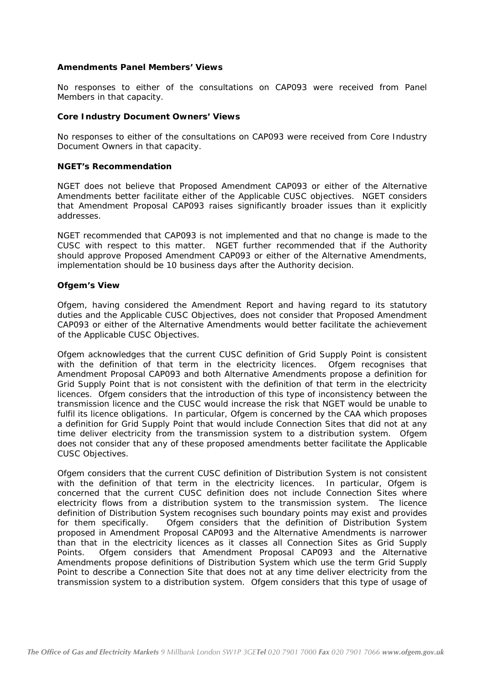## *Amendments Panel Members' Views*

No responses to either of the consultations on CAP093 were received from Panel Members in that capacity.

#### *Core Industry Document Owners' Views*

No responses to either of the consultations on CAP093 were received from Core Industry Document Owners in that capacity.

#### *NGET's Recommendation*

NGET does not believe that Proposed Amendment CAP093 or either of the Alternative Amendments better facilitate either of the Applicable CUSC objectives. NGET considers that Amendment Proposal CAP093 raises significantly broader issues than it explicitly addresses.

NGET recommended that CAP093 is not implemented and that no change is made to the CUSC with respect to this matter. NGET further recommended that if the Authority should approve Proposed Amendment CAP093 or either of the Alternative Amendments, implementation should be 10 business days after the Authority decision.

#### *Ofgem's View*

Ofgem, having considered the Amendment Report and having regard to its statutory duties and the Applicable CUSC Objectives, does not consider that Proposed Amendment CAP093 or either of the Alternative Amendments would better facilitate the achievement of the Applicable CUSC Objectives.

Ofgem acknowledges that the current CUSC definition of Grid Supply Point is consistent with the definition of that term in the electricity licences. Ofgem recognises that Amendment Proposal CAP093 and both Alternative Amendments propose a definition for Grid Supply Point that is not consistent with the definition of that term in the electricity licences. Ofgem considers that the introduction of this type of inconsistency between the transmission licence and the CUSC would increase the risk that NGET would be unable to fulfil its licence obligations. In particular, Ofgem is concerned by the CAA which proposes a definition for Grid Supply Point that would include Connection Sites that did not at any time deliver electricity from the transmission system to a distribution system. Ofgem does not consider that any of these proposed amendments better facilitate the Applicable CUSC Objectives.

Ofgem considers that the current CUSC definition of Distribution System is not consistent with the definition of that term in the electricity licences. In particular, Ofgem is concerned that the current CUSC definition does not include Connection Sites where electricity flows from a distribution system to the transmission system. The licence definition of Distribution System recognises such boundary points may exist and provides for them specifically. Ofgem considers that the definition of Distribution System proposed in Amendment Proposal CAP093 and the Alternative Amendments is narrower than that in the electricity licences as it classes all Connection Sites as Grid Supply Points. Ofgem considers that Amendment Proposal CAP093 and the Alternative Amendments propose definitions of Distribution System which use the term Grid Supply Point to describe a Connection Site that does not at any time deliver electricity from the transmission system to a distribution system. Ofgem considers that this type of usage of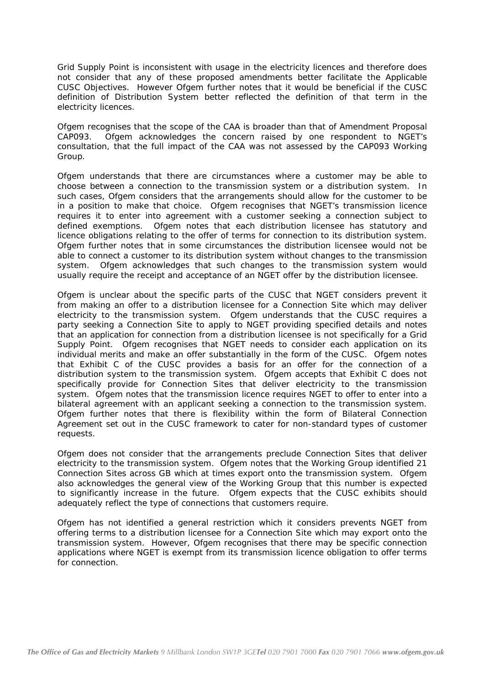Grid Supply Point is inconsistent with usage in the electricity licences and therefore does not consider that any of these proposed amendments better facilitate the Applicable CUSC Objectives. However Ofgem further notes that it would be beneficial if the CUSC definition of Distribution System better reflected the definition of that term in the electricity licences.

Ofgem recognises that the scope of the CAA is broader than that of Amendment Proposal CAP093. Ofgem acknowledges the concern raised by one respondent to NGET's consultation, that the full impact of the CAA was not assessed by the CAP093 Working Group.

Ofgem understands that there are circumstances where a customer may be able to choose between a connection to the transmission system or a distribution system. In such cases, Ofgem considers that the arrangements should allow for the customer to be in a position to make that choice. Ofgem recognises that NGET's transmission licence requires it to enter into agreement with a customer seeking a connection subject to defined exemptions. Ofgem notes that each distribution licensee has statutory and licence obligations relating to the offer of terms for connection to its distribution system. Ofgem further notes that in some circumstances the distribution licensee would not be able to connect a customer to its distribution system without changes to the transmission system. Ofgem acknowledges that such changes to the transmission system would usually require the receipt and acceptance of an NGET offer by the distribution licensee.

Ofgem is unclear about the specific parts of the CUSC that NGET considers prevent it from making an offer to a distribution licensee for a Connection Site which may deliver electricity to the transmission system. Ofgem understands that the CUSC requires a party seeking a Connection Site to apply to NGET providing specified details and notes that an application for connection from a distribution licensee is not specifically for a Grid Supply Point. Ofgem recognises that NGET needs to consider each application on its individual merits and make an offer substantially in the form of the CUSC. Ofgem notes that Exhibit C of the CUSC provides a basis for an offer for the connection of a distribution system to the transmission system. Ofgem accepts that Exhibit C does not specifically provide for Connection Sites that deliver electricity to the transmission system. Ofgem notes that the transmission licence requires NGET to offer to enter into a bilateral agreement with an applicant seeking a connection to the transmission system. Ofgem further notes that there is flexibility within the form of Bilateral Connection Agreement set out in the CUSC framework to cater for non-standard types of customer requests.

Ofgem does not consider that the arrangements preclude Connection Sites that deliver electricity to the transmission system. Ofgem notes that the Working Group identified 21 Connection Sites across GB which at times export onto the transmission system. Ofgem also acknowledges the general view of the Working Group that this number is expected to significantly increase in the future. Ofgem expects that the CUSC exhibits should adequately reflect the type of connections that customers require.

Ofgem has not identified a general restriction which it considers prevents NGET from offering terms to a distribution licensee for a Connection Site which may export onto the transmission system. However, Ofgem recognises that there may be specific connection applications where NGET is exempt from its transmission licence obligation to offer terms for connection.